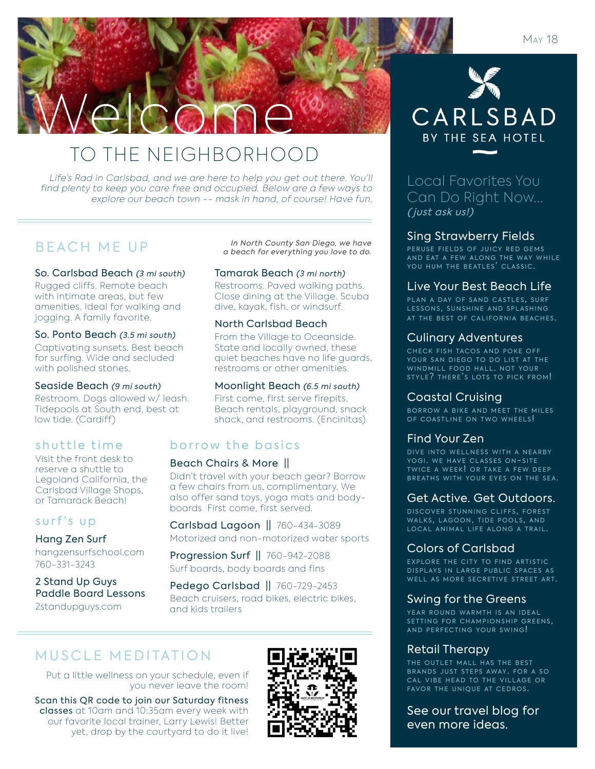

# TO THE NEIGHBORHOOD

Life's Rad in Carlsbad, and we are here to help you get out there. You'll find plenty to keep you care free and occupied. Below are a few ways to explore our beach town -- mask in hand, of course! Have fun.

So. Carlsbad Beach (3 mi south)

Rugged cliffs. Remote beach with intimate areas, but few amenities. Ideal for walking and jogging. A family favorite.

## So. Ponto Beach (3.5 mi south)

Captivating sunsets. Best beach for surfing. Wide and secluded with polished stones.

## Seaside Beach (9 mi south)

Restroom. Dogs allowed w/ leash. Tidepools at South end, best at low tide. (Cardiff)

## shuttle time

Visit the front desk to reserve a shuttle to Legoland California, the Carlsbad Village Shops, or Tamarack Beach!

## surf's up

## Hang Zen Surf

hangzensurfschool.com 760-331-3243

## 2 Stand Up Guys Paddle Board Lessons 2standupguys.com

B E A C H M E U P<br>a beach for everything you love to do.

## Tamarak Beach (3 mi north)

Restrooms. Paved walking paths. Close dining at the Village. Scuba dive, kayak, fish, or windsurf.

## North Carlsbad Beach

From the Village to Oceanside. State and locally owned, these quiet beaches have no life guards, restrooms or other amenities.

## Moonlight Beach (6.5 mi south)

First come, first serve firepits. Beach rentals, playground, snack shack, and restrooms. (Encinitas)

## borrow the basics

## Beach Chairs & More ||

Didn't travel with your beach gear? Borrow a few chairs from us, complimentary. We also offer sand toys, yoga mats and bodyboards First come, first served.

Carlsbad Lagoon || 760-434-3089

Motorized and non-motorized water sports

Progression Surf || 760-942-2088 Surf boards, body boards and fins

Pedego Carlsbad || 760-729-2453 Beach cruisers, road bikes, electric bikes, and kids trailers

# MUSCLE MEDITATION

Put a little wellness on your schedule, even if you never leave the room!

Scan this QR code to join our Saturday fitness classes at 10am and 10:35am every week with our favorite local trainer, Larry Lewis! Better yet, drop by the courtyard to do it live!



# CARLSBAD BY THE SEA HOTEL

Local Favorites You Can Do Right Now... ( just ask us!)

## Sing Strawberry Fields

PERUSE FIELDS OF JUICY RED GEMS AND EAT A FEW ALONG THE WAY WHILE<br>YOU HUM THE BEATLES' CLASSIC.

## Live Your Best Beach Life

PLAN A DAY OF SAND CASTLES, SURF LESSONS. SUNSHINE AND SPLASHING AT THE BEST OF CALIFORNIA BEACHES.

## Culinary Adventures

CHECK FISH TACOS AND POKE OFF YOUR SAN DIEGO TO DO LIST AT THE WINDMILL FOOD HALL. NOT YOUR STYLE? THERE'S LOTS TO PICK FROM!

## Coastal Cruising

BORROW A BIKE AND MEET THE MILES OF COASTLINE ON TWO WHEELS!

## Find Your Zen

DIVE INTO WELLNESS WITH A NEARBY YOGI. WE HAVE CLASSES ON-SITE TWICE A WEEK! OR TAKE A FEW DEEP BREATHS WITH YOUR EYES ON THE SEA.

## Get Active. Get Outdoors.

DISCOVER STUNNING CLIFFS, FOREST WALKS, LAGOON, TIDE POOLS, AND LOCAL ANIMAL LIFE ALONG A TRAIL.

## Colors of Carlsbad

EXPLORE THE CITY TO FIND ARTISTIC DISPLAYS IN LARGE PUBLIC SPACES AS WELL AS MORE SECRETIVE STREET ART.

## Swing for the Greens

YEAR ROUND WARMTH IS AN IDEAL SETTING FOR CHAMPIONSHIP GREENS, AND PERFECTING YOUR SWING!

## Retail Therapy

THE OUTLET MALL HAS THE BEST BRANDS JUST STEPS AWAY. FOR A SO CAL VIBE HEAD TO THE VILLAGE OR FAVOR THE UNIQUE AT CEDROS.

See our travel blog for even more ideas.